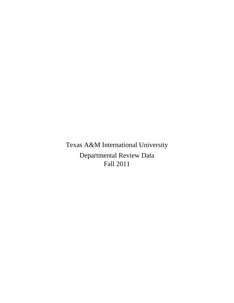Texas A&M International University Departmental Review Data Fall 2011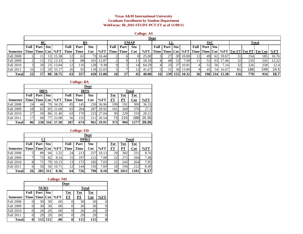#### **Texas A&M International University Graduate Enrollment by Student Department WebFocus: IR\_DSS-STUDY-PCT-FT as of 11/09/11**

|                 |    |                            |                 |                     |                 |      |                |              |           |                 |                | <b>College: AS</b> |                         |            |    |           |               |                   |    |               |     |      |                                                           |       |
|-----------------|----|----------------------------|-----------------|---------------------|-----------------|------|----------------|--------------|-----------|-----------------|----------------|--------------------|-------------------------|------------|----|-----------|---------------|-------------------|----|---------------|-----|------|-----------------------------------------------------------|-------|
|                 |    |                            |                 |                     |                 |      |                |              |           |                 |                |                    | Dept                    |            |    |           |               |                   |    |               |     |      |                                                           |       |
|                 |    | BC                         |                 |                     |                 |      | BS             |              |           |                 | <b>EMAP</b>    |                    |                         |            |    |           |               | <b>SSC</b>        |    | Total         |     |      |                                                           |       |
|                 |    | <b>Full   Part   Stu  </b> |                 |                     | Full            | Part | <b>Stu</b>     |              | Full      | Part            | <b>Stu</b>     |                    | Full                    | Part   Stu |    |           |               | Full   Part   Stu |    |               |     |      |                                                           |       |
| <b>Semester</b> |    |                            |                 | Time Time Cnt   %FT | <b>Time</b>     | Time | $\mathbf{Cnt}$ | $%FT$   Time |           | Time            | $\mathbf{Cnt}$ | $\%$ FT            | Time   Time   Cnt   %FT |            |    |           |               |                   |    |               |     |      | Time   Time   Cnt   %FT   Tot FT   Tot PT   Tot Cnt   %FT |       |
| Fall 2008       |    | 111                        | 13 <sup> </sup> | 15.38               | 12              | 61   | 731            | 16.44        |           |                 |                | 25.00              |                         | 27         |    | 30 10.00  | <sup>12</sup> | 49                |    | 61 19.67      |     | 154  | 185                                                       | 16.76 |
| Fall 2009       |    | 131                        | 15I             | 13.33               | 13 <sup>l</sup> | 88   | 101            | 12.87        |           |                 |                | 18.18              |                         | 48         | 52 | 7.69      |               | 52                | 63 | 17.46         | 32  | 210  | 242                                                       | 13.22 |
| Fall 2010       |    | <b>20</b>                  | 23              | 13.04               | 12              | 116  | 128            | 9.38         |           |                 |                | 64.29              |                         | 33         |    | 10.81     |               | 52                | 56 | 7.14          |     | 226  | 258                                                       | 12.4  |
| Fall 2011       | 16 | 13 <sup>l</sup>            |                 | 29 55.17            | 26              | 92   |                | 118 22.03    |           |                 |                | 41.67              |                         | 31         |    | 36 13.89  |               | 45                |    | 54 16.67      | -61 | 188I | 249                                                       | 24.5  |
| <b>Total</b>    | 23 | <b>57</b>                  |                 | 80 28.75            | 63              | 357  |                | 420 15.00    | <b>18</b> | 27 <sup>1</sup> | 45             | 40.00              | <b>16</b>               | 139 I      |    | 155 10.32 | 36            |                   |    | 198 234 15.38 | 156 | 7781 | 934                                                       | 16.7  |

#### **College: BA**

|                  |      |                   |     |        |      |             | Dept           |         |            |            |                |       |
|------------------|------|-------------------|-----|--------|------|-------------|----------------|---------|------------|------------|----------------|-------|
|                  |      | <b>IBFS</b>       |     |        |      |             | <b>IBTS</b>    |         |            |            | Total          |       |
|                  | Full | Part Stu          |     |        | Full | Part        | <b>Stu</b>     |         | Tot        | <b>Tot</b> | <b>Tot</b>     |       |
| <b>Semester</b>  |      | Time   Time   Cnt |     | $\%FT$ | Time | <b>Time</b> | $\mathbf{Cnt}$ | $\%$ FT | FT         | PТ         | $\mathbf{Cnt}$ | %FT   |
| <b>Fall 2008</b> | 24   | 46                | 70I | 34.29  | 85   | 1451        | 230            | 36.96   | 109        | 191        | 300            | 36.33 |
| <b>Fall 2009</b> | 18   | 65                | 83  | 21.69  | 83   | 204         | 287            | 28.92   | 101        | 269        | 370            | 27.3  |
| <b>Fall 2010</b> | 27   | 59I               | 86  | 31.40  | 63   | 170         | 233            | 27.04   | 90         | 229        | 319            | 28.21 |
| Fall 2011        | 17   | 60                |     | 22.08  | 56   | 155         | 211            | 26.54   | 73         | <b>215</b> | 288            | 25.35 |
| <b>Total</b>     | 86   | <b>230</b>        |     | 27.30  | 287  | 674         | 961            | 29.91   | <b>373</b> | 904        | 1277           | 29.26 |

#### **College: ED**

|                  |      |                   |                 |        |             |             | Dept           |         |              |            |                |        |
|------------------|------|-------------------|-----------------|--------|-------------|-------------|----------------|---------|--------------|------------|----------------|--------|
|                  |      | CI                |                 |        |             |             | <b>PPRO</b>    |         | <b>Total</b> |            |                |        |
|                  | Full | Part              | <b>Stu</b>      |        | Full        | Part        | Stu            |         | <b>Tot</b>   | <b>Tot</b> | <b>Tot</b>     |        |
| <b>Semester</b>  |      | Time   Time   Cnt |                 | $\%FT$ | <b>Time</b> | <b>Time</b> | $\mathbf{Cnt}$ | $\%$ FT | <b>FT</b>    | PТ         | $\mathbf{Cnt}$ | $\%FT$ |
| <b>Fall 2008</b> |      | 89                | 94 <sub>1</sub> | 5.32   | 24          | 213         | 237            | 10.13   | 29           | 302        | 331            | 8.76   |
| <b>Fall 2009</b> |      | 75                | 82              | 8.54   | 15          | 197         | 212            | 7.08    | 22           | 272        | 294            | 7.48   |
| <b>Fall 2010</b> |      |                   | 791             | 10.13  | 13.         | 172         | 185            | 7.03    | 21           | 243        | 264            | 7.95   |
| <b>Fall 2011</b> |      | 50                | 56              | 10.71  | 12          | 144         | 156            | 7.69    | 18           | 194        | 212            | 8.49   |
| <b>Total</b>     | 26   | 285               | 311             | 8.36   | 64          | 726         | 790            | 8.10    | 90           | 1011       | 101            | 8.17   |

#### **College: NH**

|                  |      |                   |            | ີ      |            |            |              |         |
|------------------|------|-------------------|------------|--------|------------|------------|--------------|---------|
|                  |      |                   |            |        | Dept       |            |              |         |
|                  |      | <b>NURS</b>       |            |        |            |            | <b>Total</b> |         |
|                  | Full | Part              | <b>Stu</b> |        | <b>Tot</b> | <b>Tot</b> | Tot          |         |
| <b>Semester</b>  |      | Time   Time   Cnt |            | $\%FT$ | FT         | PT         | Cnt          | $\%$ FT |
| <b>Fall 2008</b> |      | 30                | 30         | .00    |            | 30         | 30           |         |
| <b>Fall 2009</b> |      | 30                | 30         | .00    |            | 30         | 30           |         |
| <b>Fall 2010</b> |      | 26                | 26         | .00    |            | 26         | 26           |         |
| Fall 2011        |      | 29                | 29         | .00    |            | 29         | 29           |         |
| <b>Total</b>     |      | 115               | 1151       | .00.   |            | 115        | 115          | 0       |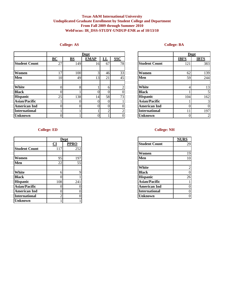#### **Texas A&M International University Unduplicated Graduate Enrollment by Student College and Department From Fall 2009 through Summer 2010 WebFocus: IR\_DSS-STUDY-UNDUP-ENR as of 10/13/10**

## **College: AS**

|                      |                                    |                           | <b>Dept</b> |                                |            |                      |             | Dept           |
|----------------------|------------------------------------|---------------------------|-------------|--------------------------------|------------|----------------------|-------------|----------------|
|                      | $\underline{\mathbf{B}\mathbf{C}}$ | $\underline{\mathbf{BS}}$ | <b>EMAP</b> | <u>LL</u>                      | <b>SSC</b> |                      | <b>IBFS</b> | <b>IBTS</b>    |
| <b>Student Count</b> | 27                                 | 149                       | 16          | 67                             | 78         | <b>Student Count</b> | 121         | 383            |
| Women                | 17                                 | 100                       | 3           | 46                             | 33         | Women                | 62          | 139            |
| Men                  | 10                                 | 49                        | 13          | 21                             | 45         | Men                  | 59          | 244            |
| <b>White</b>         |                                    | 8                         |             | 6                              |            | White                |             | 13             |
| <b>Black</b>         |                                    |                           |             |                                |            | <b>Black</b>         |             |                |
| <b>Hispanic</b>      | 25                                 | 138                       | 14          | 58                             | 73         | <b>Hispanic</b>      | 104         | 162            |
| <b>Asian/Pacific</b> |                                    |                           | 0           | $\Omega$                       |            | <b>Asian/Pacific</b> |             | 3              |
| <b>American Ind</b>  |                                    |                           |             | $\Omega$                       |            | <b>American Ind</b>  |             | $\Omega$       |
| <b>International</b> |                                    |                           |             | <sup><math>\gamma</math></sup> |            | <b>International</b> |             | 197            |
| <b>Unknown</b>       |                                    |                           |             |                                |            | <b>Unknown</b>       |             | $\overline{2}$ |

## **College: BA**

|                      |             | Dept        |
|----------------------|-------------|-------------|
|                      | <b>IBFS</b> | <b>IBTS</b> |
| <b>Student Count</b> | 121         | 383         |
|                      |             |             |
| Women                | 62          | 139         |
| Men                  | 59          | 244         |
|                      |             |             |
| White                | 4           | 13          |
| <b>Black</b>         |             | 5           |
| <b>Hispanic</b>      | 104         | 162         |
| <b>Asian/Pacific</b> |             | 3           |
| <b>American Ind</b>  | 0           |             |
| <b>International</b> |             | 197         |
| <b>Unknown</b>       |             |             |

#### **College: ED**

|                      |           | Dept        |
|----------------------|-----------|-------------|
|                      | <u>CI</u> | <b>PPRO</b> |
| <b>Student Count</b> | 117       | 252         |
|                      |           |             |
| <b>Women</b>         | 95        | 197         |
| Men                  | 22        | 55          |
|                      |           |             |
| White                |           |             |
| <b>Black</b>         |           |             |
| <b>Hispanic</b>      | 108       | 241         |
| <b>Asian/Pacific</b> |           | 0           |
| <b>American Ind</b>  |           |             |
| <b>International</b> |           |             |
| <b>Unknown</b>       |           |             |

#### **College: NH**

|     | <b>Dept</b> |                      | <b>NURS</b>    |
|-----|-------------|----------------------|----------------|
|     | <b>PPRO</b> | <b>Student Count</b> | 29             |
|     | 252         |                      |                |
|     |             | Women                | 19             |
|     | 197         | Men                  | 10             |
|     | 55          |                      |                |
|     |             | White                | $\overline{2}$ |
|     |             | <b>Black</b>         | $\overline{0}$ |
|     |             | <b>Hispanic</b>      | 26             |
| 241 |             | <b>Asian/Pacific</b> |                |
|     |             | <b>American Ind</b>  | $\overline{0}$ |
|     |             | <b>International</b> | $\overline{0}$ |
|     |             | <b>Unknown</b>       | $\overline{0}$ |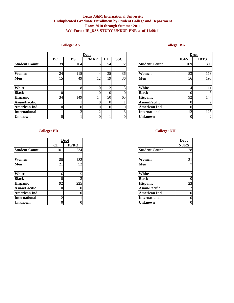#### **Texas A&M International University Unduplicated Graduate Enrollment by Student College and Department From 2010 through Summer 2011 WebFocus: IR\_DSS-STUDY-UNDUP-ENR as of 11/09/11**

## **College: AS**

|                      |                  |                           | Dept        |                |                |                      |             | Dept           |
|----------------------|------------------|---------------------------|-------------|----------------|----------------|----------------------|-------------|----------------|
|                      | $\underline{BC}$ | $\underline{\mathbf{BS}}$ | <b>EMAP</b> | $L_{\rm L}$    | <b>SSC</b>     |                      | <b>IBFS</b> | <b>IBTS</b>    |
| <b>Student Count</b> | 39               | 164                       | 16          | 54             | 72             | <b>Student Count</b> | 109         | 308            |
|                      |                  |                           |             |                |                |                      |             |                |
| Women                | 24               | 115                       | 4           | 35             | 36             | Women                | 53          | 113            |
| Men                  | 15               | 49                        | 12          | 19             | 36             | Men                  | 56          | 195            |
|                      |                  |                           |             |                |                |                      |             |                |
| <b>White</b>         |                  | $\circ$                   | ∩           | $\overline{2}$ | 3 <sub>1</sub> | <b>White</b>         |             | 11             |
| <b>Black</b>         |                  |                           |             | 0              | 0              | <b>Black</b>         |             |                |
| <b>Hispanic</b>      | 34               | 149                       | 14          | 50             | 65             | <b>Hispanic</b>      | 92          | 147            |
| <b>Asian/Pacific</b> |                  |                           |             | $\Omega$       |                | <b>Asian/Pacific</b> |             | 2              |
| <b>American Ind</b>  | ΩI               |                           | 0           | $\overline{0}$ | $\Omega$       | <b>American Ind</b>  |             | $\overline{0}$ |
| <b>International</b> |                  |                           | ◠           |                | 3 <sub>1</sub> | <b>International</b> | 12          | 125            |
| <b>Unknown</b>       | $\Omega$         |                           |             |                | $\overline{0}$ | <b>Unknown</b>       |             | $\overline{2}$ |

|                      |             | Dept        |
|----------------------|-------------|-------------|
|                      | <b>IBFS</b> | <b>IBTS</b> |
| <b>Student Count</b> | 109         | 308         |
|                      |             |             |
| Women                | 53          | 113         |
| Men                  | 56          | 195         |
|                      |             |             |
| White                | 4           | 11          |
| <b>Black</b>         | 0           | 5           |
| <b>Hispanic</b>      | 92          | 147         |
| <b>Asian/Pacific</b> | 0           | 2           |
| <b>American Ind</b>  | 0           | 0           |
| <b>International</b> | 12          | 125         |
| <b>Unknown</b>       |             | 2           |

## **College: ED**

|                      |                        | Dept        |
|----------------------|------------------------|-------------|
|                      | $\overline{\text{CI}}$ | <b>PPRO</b> |
| <b>Student Count</b> | 101                    | 234         |
|                      |                        |             |
| Women                | 80                     | 182         |
| Men                  | 21                     | 52          |
|                      |                        |             |
| White                | h                      |             |
| <b>Black</b>         | 0                      |             |
| <b>Hispanic</b>      | 92                     | 225         |
| Asian/Pacific        |                        |             |
| <b>American Ind</b>  |                        |             |
| <b>International</b> | ◠                      |             |
| <b>Unknown</b>       | 0                      | 0           |

## **College: NH**

|                      | <b>Dept</b> |
|----------------------|-------------|
|                      | <b>PPRO</b> |
| <b>Student Count</b> | 234         |
|                      |             |
| Women                | 182         |
| Men                  | 52          |
|                      |             |
| White                | 5           |
| <b>Black</b>         | ◠           |
| <b>Hispanic</b>      | 225         |
| <b>Asian/Pacific</b> |             |
| <b>American Ind</b>  |             |
| <b>International</b> |             |
| <b>Unknown</b>       |             |

## **College: BA**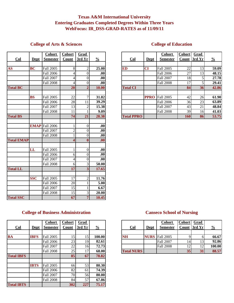## **Texas A&M International University Entering Graduates Completed Degrees Within Three Years WebFocus: IR\_DSS-GRAD-RATES as of 11/09/11**

## **College of Arts & Sciences**

|                   |             | <b>Cohort</b>         | <b>Cohort</b>           | <b>Grad</b>             |                  |
|-------------------|-------------|-----------------------|-------------------------|-------------------------|------------------|
| Col               | <b>Dept</b> | <b>Semester</b>       | Count                   | 3rd Yr                  | $\frac{0}{0}$    |
|                   |             |                       |                         |                         |                  |
| <b>AS</b>         | <b>BC</b>   | <b>Fall 2005</b>      | 8                       | $\overline{2}$          | 25.00            |
|                   |             | <b>Fall 2006</b>      | 4                       | $\theta$                | .00              |
|                   |             | Fall 2007             | $\overline{4}$          | $\overline{0}$          | .00              |
|                   |             | <b>Fall 2008</b>      | $\overline{4}$          | $\theta$                | .00              |
| <b>Total BC</b>   |             |                       | 20                      | $\overline{2}$          | 10.00            |
|                   |             |                       |                         |                         |                  |
|                   | <b>BS</b>   | <b>Fall 2005</b>      | 22                      | $\overline{7}$          | 31.82            |
|                   |             | <b>Fall 2006</b>      | 28                      | 11                      | 39.29            |
|                   |             | <b>Fall 2007</b>      | 13                      | $\overline{2}$          | 15.38            |
|                   |             | <b>Fall 2008</b>      | 11                      | $\mathbf{1}$            | 9.09             |
| <b>Total BS</b>   |             |                       | 74                      | 21                      | 28.38            |
|                   |             |                       |                         |                         |                  |
|                   |             | <b>EMAP</b> Fall 2006 | 1                       | $\theta$                | .00              |
|                   |             | <b>Fall 2007</b>      | $\overline{2}$          | $\theta$                | .00              |
|                   |             | <b>Fall 2008</b>      | $\overline{1}$          | $\overline{0}$          | .00              |
| <b>Total EMAP</b> |             |                       | $\overline{\mathbf{4}}$ | $\bf{0}$                | .00              |
|                   |             |                       |                         |                         |                  |
|                   | LL          | <b>Fall 2005</b>      | 1                       | $\theta$                | .00              |
|                   |             | <b>Fall 2006</b>      | 6                       | $\mathbf{0}$            | $\overline{.00}$ |
|                   |             | <b>Fall 2007</b>      | $\overline{4}$          | $\theta$                | .00              |
|                   |             | <b>Fall 2008</b>      | 6                       | 3                       | 50.00            |
| <b>Total LL</b>   |             |                       | 17                      | $\overline{\mathbf{3}}$ | 17.65            |
|                   |             |                       |                         |                         |                  |
|                   | <b>SSC</b>  | Fall 2005             | 17                      | $\overline{2}$          | 11.76            |
|                   |             | <b>Fall 2006</b>      | 20                      | $\overline{1}$          | 5.00             |
|                   |             | <b>Fall 2007</b>      | 15                      | 1                       | 6.67             |
|                   |             | <b>Fall 2008</b>      | 15                      | 3                       | 20.00            |
| <b>Total SSC</b>  |             |                       | 67                      | $\overline{7}$          | 10.45            |

# **College of Education**

|                                   |             | <b>Cohort</b>    | <b>Cohort</b> | Grad   |                  |                   |             | <b>Cohort</b>    | <b>Cohort</b>   | Grad            |               |
|-----------------------------------|-------------|------------------|---------------|--------|------------------|-------------------|-------------|------------------|-----------------|-----------------|---------------|
| $_{\text{Col}}$                   | <b>Dept</b> | <b>Semester</b>  | Count         | 3rd Yr | $\frac{0}{0}$    | $_{\text{Col}}$   | <b>Dept</b> | <b>Semester</b>  |                 | Count 3rd Yr    | $\frac{0}{2}$ |
|                                   |             |                  |               |        |                  |                   |             |                  |                 |                 |               |
| $\overline{\mathbf{A}}\mathbf{S}$ | <b>BC</b>   | <b>Fall 2005</b> |               |        | 25.00            | <b>ED</b>         | <b>CI</b>   | <b>Fall 2005</b> | 22              | 13              | 59.09         |
|                                   |             | Fall 2006        |               | OI.    | .00 <sub>l</sub> |                   |             | <b>Fall 2006</b> | 27              | 13 <sub>1</sub> | 48.15         |
|                                   |             | Fall 2007        |               | ΩL     | .00              |                   |             | <b>Fall 2007</b> | 18              |                 | 27.78         |
|                                   |             | <b>Fall 2008</b> |               |        | .00 <sub>l</sub> |                   |             | <b>Fall 2008</b> |                 |                 | 29.41         |
| <b>Total BC</b>                   |             |                  | 20            |        | 10.00            | <b>Total CI</b>   |             |                  | 84              | 36 <sup>l</sup> | 42.86         |
|                                   |             |                  |               |        |                  |                   |             |                  |                 |                 |               |
|                                   | <b>BS</b>   | <b>Fall 2005</b> | 22            |        | 31.82            |                   | <b>PPRO</b> | Fall 2005        | 42              | 26              | 61.90         |
|                                   |             | <b>Fall 2006</b> | 28            | 11     | 39.29            |                   |             | <b>Fall 2006</b> | 36 <sup>I</sup> | 23              | 63.89         |
|                                   |             | Fall 2007        | 13            |        | 15.38            |                   |             | <b>Fall 2007</b> | 43              | 21              | 48.84         |
|                                   |             | <b>Fall 2008</b> | 11            |        | 9.09             |                   |             | <b>Fall 2008</b> | 39              | 16              | 41.03         |
| <b>Total BS</b>                   |             |                  | 74            | 21     | 28.38            | <b>Total PPRO</b> |             |                  | <b>160</b>      | 86              | 53.75         |

# **College of Business Administration**

|                   |             | <b>Cohort</b>    | <b>Cohort</b> | <b>Grad</b> |               |
|-------------------|-------------|------------------|---------------|-------------|---------------|
| Col               | <b>Dept</b> | Semester         | Count         | 3rd Yr      | $\frac{0}{0}$ |
|                   |             |                  |               |             |               |
| <b>BA</b>         | <b>IBFS</b> | Fall 2005        | 15            | 15          | 100.00        |
|                   |             | Fall 2006        | 23            | 19          | 82.61         |
|                   |             | Fall 2007        | 22            | 16          | 72.73         |
|                   |             | Fall 2008        | 25            | 17          | 68.00         |
| <b>Total IBFS</b> |             |                  | 85            | 67          | 78.82         |
|                   |             |                  |               |             |               |
|                   | <b>IBTS</b> | Fall 2005        | 66            | 53          | 80.30         |
|                   |             | Fall 2006        | 82            | 61          | 74.39         |
|                   |             | <b>Fall 2007</b> | 70            | 56          | 80.00         |
|                   |             | Fall 2008        | 84            | 57          | 67.86         |
| <b>Total IBTS</b> |             |                  | 302           | 227         | 75.17         |

## **Canseco School of Nursing**

| $\underline{\text{Col}}$ | Dept        | <b>Cohort</b><br><b>Semester</b> | <b>Cohort</b><br>Count | <u>Grad</u><br>3rdYr | $\frac{0}{0}$ | $\underline{\text{Col}}$ | <b>Dept</b> | <u>Cohort</u><br><b>Semester</b> | <b>Cohort</b> | Grad<br>Count 3rd Yr | $\frac{0}{0}$ |
|--------------------------|-------------|----------------------------------|------------------------|----------------------|---------------|--------------------------|-------------|----------------------------------|---------------|----------------------|---------------|
|                          |             |                                  |                        |                      |               |                          |             |                                  |               |                      |               |
| BA                       | <b>IBFS</b> | <b>Fall 2005</b>                 |                        |                      | 100.00        | <b>NH</b>                |             | <b>NURS</b> Fall 2005            |               |                      | 66.67         |
|                          |             | <b>Fall 2006</b>                 | 23                     | 191                  | 82.61         |                          |             | <b>Fall 2007</b>                 |               | 13                   | 92.86         |
|                          |             | <b>Fall 2007</b>                 | 22                     | 161                  | 72.73         |                          |             | <b>Fall 2008</b>                 |               | 12                   | 100.00        |
|                          |             | <b>Fall 2008</b>                 | 25                     | $\mathcal{I}$        | 68.00         | <b>Total NURS</b>        |             |                                  |               | 31                   | 88.57         |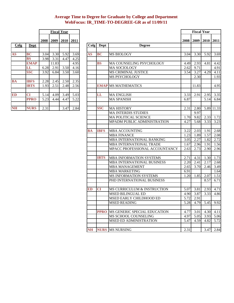## **Average Time to Degree for Graduate by College and Department WebFocus: IR\_TIME-TO-DEGREE-GR as of 11/09/11**

|           |             |      |       | <b>Fiscal Year</b> |      |           |            |                            |
|-----------|-------------|------|-------|--------------------|------|-----------|------------|----------------------------|
|           |             | 2008 | 2009  | <b>2010</b>        | 2011 |           |            |                            |
| Colg      | Dept        |      |       |                    |      | Colg      | Dept       | <b>Degree</b>              |
|           |             |      |       |                    |      |           |            |                            |
| <b>AS</b> | <b>BC</b>   | 3.04 | 3.30  | 5.92               | 3.69 | <b>AS</b> | <b>BC</b>  | <b>MS BIOLOGY</b>          |
|           | BS          | 3.98 | 3.31  | 4.47               | 4.25 |           |            |                            |
|           | <b>EMAP</b> |      | 11.83 |                    | 4.95 |           | <b>BS</b>  | <b>MA COUNSELING PSYCI</b> |
|           | LL          | 6.28 | 2.91  | 3.50               | 4.16 |           |            | <b>MA SOCIOLOGY</b>        |
|           | <b>SSC</b>  | 3.92 | 6.84  | 3.50               | 3.60 |           |            | <b>MS CRIMINAL JUSTICE</b> |
|           |             |      |       |                    |      |           |            | <b>MS PSYCHOLOGY</b>       |
| <b>BA</b> | <b>IBFS</b> | 2.28 | 2.45  | 2.50               | 2.35 |           |            |                            |
|           | <b>IBTS</b> | 1.93 | 2.51  | 2.48               | 2.56 |           |            | <b>EMAP MS MATHEMATICS</b> |
|           |             |      |       |                    |      |           |            |                            |
| <b>ED</b> | <b>CI</b>   | 5.14 | 4.09  | 3.49               | 5.03 |           | LL         | <b>MA ENGLISH</b>          |
|           | <b>PPRO</b> | 5.23 | 4.44  | 4.47               | 5.22 |           |            | <b>MA SPANISH</b>          |
|           |             |      |       |                    |      |           |            |                            |
| <b>NH</b> | <b>NURS</b> | 2.31 |       | 3.47               | 2.84 |           | <b>SSC</b> | <b>MA HISTORY</b>          |

|                          | <b>Fiscal Year</b> |      |       |           |      |           | <b>Fiscal Year</b> |                                |      |       |           |            |
|--------------------------|--------------------|------|-------|-----------|------|-----------|--------------------|--------------------------------|------|-------|-----------|------------|
|                          |                    | 2008 | 2009  | 2010 2011 |      |           |                    |                                | 2008 | 2009  | 2010 2011 |            |
| Colg                     | Dept               |      |       |           |      |           | Colg   Dept        | <b>Degree</b>                  |      |       |           |            |
|                          |                    |      |       |           |      |           |                    |                                |      |       |           |            |
| $\mathbf{A}\mathbf{S}$   | <b>BC</b>          | 3.04 | 3.30  | 5.92      | 3.69 | <b>AS</b> | <b>BC</b>          | <b>MS BIOLOGY</b>              | 3.04 | 3.30  | 5.92      | 3.69       |
|                          | <b>BS</b>          | 3.98 | 3.31  | 4.47      | 4.25 |           |                    |                                |      |       |           |            |
|                          | <b>EMAP</b>        |      | 11.83 |           | 4.95 |           | <b>BS</b>          | MA COUNSELING PSYCHOLOGY       | 4.49 | 2.93  | 4.81      | 4.42       |
|                          | LL                 | 6.28 | 2.91  | 3.50      | 4.16 |           |                    | <b>MA SOCIOLOGY</b>            | 2.62 | 9.71  |           | 4.91       |
|                          | <b>SSC</b>         | 3.92 | 6.84  | 3.50      | 3.60 |           |                    | MS CRIMINAL JUSTICE            | 3.54 | 3.27  | 4.29      | 4.11       |
|                          |                    |      |       |           |      |           |                    | <b>MS PSYCHOLOGY</b>           |      | 2.30  |           | 1.93       |
| $\overline{\mathbf{BA}}$ | <b>IBFS</b>        | 2.28 | 2.45  | 2.50      | 2.35 |           |                    |                                |      |       |           |            |
|                          | <b>IBTS</b>        | 1.93 | 2.51  | 2.48      | 2.56 |           |                    | <b>EMAP MS MATHEMATICS</b>     |      | 11.83 |           | 4.95       |
| <b>ED</b>                | <b>CI</b>          | 5.14 | 4.09  | 3.49      | 5.03 |           | LL                 | <b>MA ENGLISH</b>              | 3.33 | 2.91  | 2.95      | 3.35       |
|                          | <b>PPRO</b>        | 5.23 | 4.44  | 4.47      | 5.22 |           |                    | <b>MA SPANISH</b>              | 6.87 |       | 5.14      | 6.84       |
|                          |                    |      |       |           |      |           |                    |                                |      |       |           |            |
| $\overline{\text{NH}}$   | <b>NURS</b>        | 2.31 |       | 3.47      | 2.84 |           | <b>SSC</b>         | <b>MAHISTORY</b>               | 2.31 | 2.80  |           | 5.89 11.33 |
|                          |                    |      |       |           |      |           |                    | <b>MA INTERDIS STUDIES</b>     |      | 9.97  |           |            |
|                          |                    |      |       |           |      |           |                    | <b>MA POLITICAL SCIENCE</b>    | 1.70 | 9.82  | 2.33      | 1.72       |
|                          |                    |      |       |           |      |           |                    | MPADM PUBLIC ADMINISTRATION    | 4.27 | 5.68  | 3.33      | 3.23       |
|                          |                    |      |       |           |      |           |                    |                                |      |       |           |            |
|                          |                    |      |       |           |      | BA        | <b>IBFS</b>        | <b>MBA ACCOUNTING</b>          | 3.22 | 2.03  | 1.91      | 2.68       |
|                          |                    |      |       |           |      |           |                    | <b>MBA FINANCE</b>             | 1.23 | 1.89  | 1.57      | 2.08       |
|                          |                    |      |       |           |      |           |                    | MBA INTERNATIONAL BANKING      | 3.05 | 2.27  | 1.82      | 2.72       |
|                          |                    |      |       |           |      |           |                    | MBA INTERNATIONAL TRADE        | 1.67 | 2.96  | 1.91      | 1.56       |
|                          |                    |      |       |           |      |           |                    | MPACC PROFESSIONAL ACCOUNTANCY | 2.63 | 2.73  | 2.90      | 2.96       |
|                          |                    |      |       |           |      |           | <b>IBTS</b>        | <b>MBA INFORMATION SYSTEMS</b> | 2.71 | 4.31  | 1.30      | 1.73       |
|                          |                    |      |       |           |      |           |                    | MBA INTERNATIONAL BUSINESS     | 2.20 | 2.41  | 2.17      | 2.68       |
|                          |                    |      |       |           |      |           |                    | <b>MBA MANAGEMENT</b>          | 2.65 | 3.70  | 2.46      | 3.49       |
|                          |                    |      |       |           |      |           |                    | <b>MBA MARKETING</b>           | 6.91 |       |           | 1.64       |
|                          |                    |      |       |           |      |           |                    | MS INFORMATION SYSTEMS         | 1.20 | 1.85  | 2.07      | 1.51       |
|                          |                    |      |       |           |      |           |                    | PHD INTERNATIONAL BUSINESS     |      |       | 8.57      | 6.71       |
|                          |                    |      |       |           |      |           |                    |                                |      |       |           |            |
|                          |                    |      |       |           |      | <b>ED</b> | <b>CI</b>          | MS CURRICULUM & INSTRUCTION    | 5.07 | 3.81  | 2.93      | 4.71       |
|                          |                    |      |       |           |      |           |                    | <b>MSED BILINGUAL ED</b>       | 4.90 | 3.87  | 3.33      | 4.86       |
|                          |                    |      |       |           |      |           |                    | MSED EARLY CHILDHOOD ED        | 5.72 | 2.91  |           |            |
|                          |                    |      |       |           |      |           |                    | <b>MSED READING</b>            | 5.28 | 4.79  |           | 5.45 9.92  |
|                          |                    |      |       |           |      |           | <b>PPRO</b>        | MS GENERIC SPECIAL EDUCATION   | 4.77 | 3.01  | 4.30      | 4.11       |
|                          |                    |      |       |           |      |           |                    | MS SCHOOL COUNSELING           | 4.97 | 5.05  | 3.93      | 5.06       |
|                          |                    |      |       |           |      |           |                    | <b>MSED ED ADMINISTRATION</b>  | 5.47 | 4.59  | 4.82      | 5.72       |
|                          |                    |      |       |           |      |           |                    |                                |      |       |           |            |
|                          |                    |      |       |           |      | <b>NH</b> |                    | <b>NURS</b> MS NURSING         | 2.31 |       | 3.47      | 2.84       |

7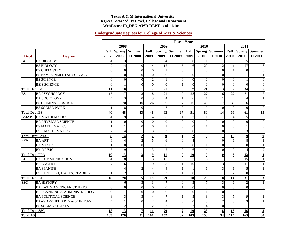#### **Texas A & M International University Degrees Awarded By Level, College and Department WebFocus: IR\_DEG-AWD-DEPT as of 11/10/11**

#### **Undergraduate Degrees for College of Arts & Sciences**

|                       |                                         | <b>Fiscal Year</b>   |                 |               |                          |                  |                      |                |                    |                      |                 |                             |                         |
|-----------------------|-----------------------------------------|----------------------|-----------------|---------------|--------------------------|------------------|----------------------|----------------|--------------------|----------------------|-----------------|-----------------------------|-------------------------|
|                       |                                         |                      | 2008            |               |                          | 2009             |                      |                | 2010               |                      |                 | 2011                        |                         |
|                       |                                         | Fall                 | <b>Spring</b>   | <b>Summer</b> | Fall                     |                  | <b>Spring Summer</b> | Fall           |                    | <b>Spring Summer</b> | Fall            |                             | <b>Spring Summer</b>    |
| <b>Dept</b>           | <b>Degree</b>                           | 2007                 | 2008            | II 2008       | 2008                     | 2009             | II 2009              | 2009           | 2010               | II 2010              | 2010            | 2011                        | II 2011                 |
| BC                    | <b>BA BIOLOGY</b>                       | Δ                    |                 |               |                          | $\overline{4}$   | $\Omega$             | $\Omega$       |                    |                      | $\theta$        | 5                           | $\Omega$                |
|                       | <b>BS BIOLOGY</b>                       | $\overline{7}$       | 14              | $\theta$      | $\overline{\mathcal{A}}$ | 15               | 5                    | 6              | 20                 |                      |                 | $\overline{27}$             | 6                       |
|                       | <b>BS CHEMISTRY</b>                     | $\Omega$             | $\Omega$        | $\Omega$      | $\Omega$                 | $\mathbf{1}$     | $\Omega$             |                | $\Omega$           | $\Omega$             |                 | $\Omega$                    | $\Omega$                |
|                       | <b>BS ENVIRONMENTAL SCIENCE</b>         | $\theta$             | $\Omega$        | $\Omega$      | $\Omega$                 | $\mathbf{0}$     | 3                    | $\Omega$       | $\Omega$           | $\Omega$             | $\Omega$        |                             |                         |
|                       | <b>BS SCIENCE</b>                       | $\theta$             | $\Omega$        | $\Omega$      | $\overline{c}$           | $\mathbf{1}$     | $\Omega$             | $\Omega$       | $\Omega$           | $\Omega$             | $\Omega$        |                             | $\theta$                |
|                       | <b>BSIS SCIENCE</b>                     | $\theta$             |                 | $\Omega$      | $\Omega$                 | $\Omega$         |                      | $\Omega$       | $\Omega$           | $\Omega$             | $\Omega$        | $\Omega$                    | $\Omega$                |
| <b>Total Dept BC</b>  |                                         | 11                   | 18              |               | 7                        | 21               | 9                    | $\overline{7}$ | 21                 |                      | $\overline{2}$  | 34                          | 7                       |
| <b>BS</b>             | <b>BA PSYCHOLOGY</b>                    | 15                   | $\overline{17}$ | 3             | 18                       | 21               | 9                    | 28             | 27                 | 6                    | $\overline{27}$ | $\overline{31}$             | $\tau$                  |
|                       | <b>BA SOCIOLOGY</b>                     |                      | 3               | $\theta$      | 3                        | $\overline{4}$   |                      | 6              |                    |                      |                 | $\Delta$                    | $\mathbf{1}$            |
|                       | <b>BS CRIMINAL JUSTICE</b>              | 20                   | 20              | 10            | 26                       | 30               | 7                    | 16             | 43                 | 7                    | 35              | 26                          | 5                       |
|                       | <b>BS SOCIAL WORK</b>                   |                      | 8               | $\theta$      |                          | $\boldsymbol{7}$ | $\Omega$             |                | $\mathbf Q$        | $\Omega$             | $\theta$        | $\Omega$                    | $\overline{0}$          |
| <b>Total Dept BS</b>  |                                         | 40                   | 48              | 13            | 48                       | 62               | 17                   | 51             | 80                 | 14                   | 66              | 61                          | 13                      |
| <b>EMAP</b>           | <b>BA MATHEMATICS</b>                   | $\overline{\Lambda}$ | $\mathbf Q$     |               | $\overline{4}$           | 6                |                      | $\overline{7}$ |                    |                      | $\Delta$        | 5                           | $\mathbf{0}$            |
|                       | <b>BA PHYSICAL SCIENCE</b>              |                      | $\Omega$        | $\Omega$      | $\Omega$                 | $\Omega$         | $\Omega$             | $\Omega$       | $\Omega$           | $\Omega$             | $\Omega$        | $\Omega$                    | $\overline{0}$          |
|                       | <b>BS MATHEMATICS</b>                   |                      |                 | $\Omega$      | $\theta$                 | $\mathbf{1}$     | $\Omega$             | $\Omega$       |                    | $\Omega$             | $\Omega$        |                             | $\overline{0}$          |
|                       | <b>BSIS MATHEMATICS</b>                 |                      |                 |               |                          | $\overline{c}$   | $\Omega$             | $\Omega$       |                    | $\Omega$             | 6               | 3                           | $\overline{0}$          |
|                       | <b>Total Dept EMAP</b>                  | 8                    | 14              |               | $\overline{7}$           | $\boldsymbol{9}$ |                      | $\overline{7}$ |                    |                      | 10              | $\mathbf Q$                 | $\bf{0}$                |
| <b>FPA</b>            | <b>BA ART</b>                           | 6                    | Δ               |               | 5                        | 6                | $\Omega$             | $\overline{4}$ |                    | $\Omega$             | 6               | 8                           |                         |
|                       | <b>BA MUSIC</b>                         |                      | $\Omega$        | $\Omega$      |                          | $\mathbf{0}$     | $\Omega$             | $\Omega$       |                    | $\Omega$             | $\theta$        | $\Omega$                    |                         |
|                       | <b>BM MUSIC</b>                         | 3                    | $\mathbf Q$     |               |                          | 5                | $\Omega$             | 6              |                    | $\Omega$             | $\Omega$        | $\overline{4}$              | $\mathcal{D}$           |
| <b>Total Dept FPA</b> |                                         | 10                   | 13              | 3             | $\boldsymbol{9}$         | 11               | $\mathbf{0}$         | 10             | 9                  | $\mathbf{0}$         | 6               | 12                          | 4                       |
| LL                    | <b>BA COMMUNICATION</b>                 |                      | 8               |               |                          | 15               | $\Omega$             | $\overline{7}$ |                    |                      |                 | 15                          |                         |
|                       | <b>BA ENGLISH</b>                       |                      | 6               |               | 9                        | $\,8\,$          |                      | 10             |                    |                      | 6               | 11                          |                         |
|                       | <b>BA SPANISH</b>                       |                      |                 |               |                          | $\overline{4}$   |                      |                | 6                  |                      |                 | 5                           |                         |
|                       | BSIS ENGLISH, L ARTS, READING           |                      | $\mathcal{D}$   |               |                          | $\overline{2}$   |                      | $\overline{0}$ | $\Omega$           |                      |                 | $\Omega$                    | $\Omega$                |
| <b>Total Dept LL</b>  |                                         | 16                   | 20              |               | 19                       | 29               | 3                    | 18             | 20                 | 8                    | 14              | 31                          | $\overline{\mathbf{3}}$ |
| <b>SSC</b>            | <b>BA HISTORY</b>                       | Δ                    | 6               | 3             |                          | $\boldsymbol{7}$ | $\Omega$             | 3              |                    | 3                    | 6               | $\mathcal{D}_{\mathcal{L}}$ |                         |
|                       | <b>BA LATIN AMERICAN STUDIES</b>        | $\Omega$             | $\Omega$        | $\Omega$      | $\Omega$                 | $\Omega$         |                      | $\Omega$       | $\Omega$           | $\Omega$             | $\Omega$        | $\Omega$                    | $\Omega$                |
|                       | <b>BA PLANNING &amp; ADMINISTRATION</b> | $\theta$             |                 | $\Omega$      | $\Omega$                 | $\mathbf{0}$     | $\Omega$             | $\Omega$       |                    | $\Omega$             | $\Omega$        |                             | $\theta$                |
|                       | <b>BA POLITICAL SCIENCE</b>             | 8                    |                 |               |                          | $\tau$           |                      | 5              | 8                  | 3                    |                 | Q                           |                         |
|                       | <b>BAAS APPLIED ARTS &amp; SCIENCES</b> |                      |                 | $\Omega$      |                          | $\overline{4}$   | $\Omega$             | $\Omega$       | $\mathbf{\hat{z}}$ | $\overline{c}$       |                 |                             |                         |
|                       | <b>BS SOCIAL STUDIES</b>                | $\mathcal{D}$        | $\mathcal{D}$   |               |                          | $\mathfrak{2}$   | $\Omega$             | $\overline{c}$ |                    | $\Omega$             | $\Omega$        |                             | $\theta$                |
| <b>Total Dept SSC</b> |                                         | 18                   | 13              | 7             | 11                       | 20               | $\overline{2}$       | 10             | 23                 | 8                    | 16              | 16                          | 3                       |
| <b>Total AS</b>       |                                         | 103                  | 126             | 31            | 101                      | 152              | 32                   | 103            | 158                | 34                   | 114             | 163                         | 30                      |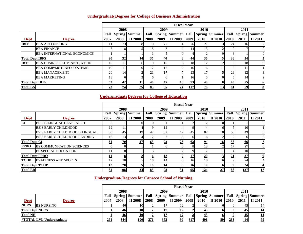## **Undergraduate Degrees for College of Business Administration**

|                        |                                    |      |                       |                |           |                 | <b>Fiscal Year</b>   |                 |          |                      |      |      |                         |
|------------------------|------------------------------------|------|-----------------------|----------------|-----------|-----------------|----------------------|-----------------|----------|----------------------|------|------|-------------------------|
|                        |                                    |      | 2008                  |                |           | 2009            |                      |                 | 2010     |                      |      | 2011 |                         |
|                        |                                    | Fall | <b>Spring</b>         | <b>Summer</b>  | Fall      |                 | <b>Spring Summer</b> | Fall            |          | <b>Spring Summer</b> | Fall |      | <b>Spring Summer</b>    |
| <b>Dept</b>            | <b>Degree</b>                      | 2007 | 2008                  | <b>II 2008</b> | 2008      | 2009            | II 2009              | 2009            | 2010     | II 2010              | 2010 | 2011 | II 2011                 |
| <b>IBFS</b>            | <b>BBA ACCOUNTING</b>              | 11   | 23                    |                | 19        | 27              |                      | <b>26</b>       | 21       |                      | 24   | 161  |                         |
|                        | <b>BBA FINANCE</b>                 |      |                       |                | 15        |                 |                      | 14              | 13       |                      |      |      | $\Omega$                |
|                        | <b>BBA INTERNATIONAL ECONOMICS</b> |      |                       |                |           |                 |                      |                 |          |                      |      |      | $\Omega$                |
| <b>Total Dept IBFS</b> |                                    | 20   | 32                    | <u>14</u>      | 35        | 40              | $8\phantom{.}$       | $\overline{44}$ | 36       |                      | 36   | 24   |                         |
| <b>IBTS</b>            | <b>BBA BUSINESS ADMINISTRATION</b> | 10   |                       |                |           | 10              |                      | 18              |          |                      |      | 18   |                         |
|                        | <b>BBA COMP/MGT INFO SYSTEMS</b>   | 10   |                       |                | 12        | 12              |                      | 16              |          |                      |      |      |                         |
|                        | <b>BBA MANAGEMENT</b>              | 20   | 14                    | ⌒              | 21        | 17              |                      | 23              |          |                      | 29   | 12   |                         |
|                        | <b>BBA MARKETING</b>               | 13   | nι                    |                |           | h               |                      | 16              |          |                      |      | 4    |                         |
| <b>Total Dept IBTS</b> |                                    | 53   | 42                    | 11             | <u>48</u> | $\overline{45}$ | 16                   | $\overline{23}$ | 40<br>-- |                      | 45   | 55   | $\overline{\mathbf{6}}$ |
| <b>Total BA</b>        |                                    |      | $\overline{23}$<br>74 | 25             | 83        | 85              | 24                   | 117             | 76       | 13                   | 81   | 29   | 8                       |

## **Undergraduate Degrees for College of Education**

|                        |                                       |                 |               |         |           |              | <b>Fiscal Year</b>   |      |             |                      |      |                 |                      |
|------------------------|---------------------------------------|-----------------|---------------|---------|-----------|--------------|----------------------|------|-------------|----------------------|------|-----------------|----------------------|
|                        |                                       |                 | 2008          |         |           | 2009         |                      |      | 2010        |                      |      | 2011            |                      |
|                        |                                       | Fall            | <b>Spring</b> | Summer  | Fall      |              | <b>Spring Summer</b> | Fall |             | <b>Spring Summer</b> | Fall |                 | <b>Spring Summer</b> |
| <b>Dept</b>            | <b>Degree</b>                         | 2007            | 2008          | II 2008 | 2008      | 2009         | II 2009              | 2009 | <b>2010</b> | II 2010              | 2010 | 2011            | II 2011              |
| CI                     | <b>BSIS BILINGUAL GENERALIST</b>      |                 |               |         |           |              |                      |      |             |                      |      |                 | $\Omega$             |
|                        | <b>BSIS EARLY CHILDHOOD</b>           | 12              |               |         |           | 12           |                      |      |             |                      |      | 10 <sup>1</sup> |                      |
|                        | <b>BSIS EARLY CHILDHOOD BILINGUAL</b> | 30 <sup>1</sup> | 45            | 19      | 42        | 52           | 12                   | 45   | 82          | 10                   | 50   | 49              | 6                    |
|                        | BSIS EARLY CHILDHOOD READING          | 16              |               |         | 12        |              |                      |      |             |                      |      |                 | $\Omega$             |
| <b>Total Dept CI</b>   |                                       | <u>61</u>       | 70            | 27      | 63        | 72           | 23                   | 62   | 94          | 18                   | 58   | 66              |                      |
| <b>PPRO</b>            | <b>IBS COMMUNICATION SCIENCES</b>     |                 |               |         |           | <sub>6</sub> |                      |      |             |                      |      | 27              | 6                    |
|                        | <b>BS SPECIAL EDUCATION</b>           |                 |               |         |           | h            |                      |      |             |                      |      | 10              | $\Omega$             |
| <b>Total Dept PPRO</b> |                                       | 11              |               |         |           | <u>12</u>    |                      | 17   | 20          |                      | 21   | 37              | $6\overline{6}$      |
| <b>TCHP</b>            | <b>BS FITNESS AND SPORTS</b>          | 12              | 20            |         | 18        | 14           |                      | 16   | 10          |                      |      | 24              | 4                    |
| <b>Total Dept TCHP</b> |                                       | 12              | 20            |         | <u>18</u> | <u>14</u>    |                      | 16   | 10          |                      |      | 24              |                      |
| <b>Total ED</b>        |                                       | 84              | 98            | 34      | 85        | 98           | 31                   | 95   | 124         | 27                   | 88   | 127             | 17                   |

## **Undergraduate Degrees for Canseco School of Nursing**

|                        |                                 |      |            |                      |      |      | <b>Fiscal Year</b>              |      |           |                                                        |      |           |           |
|------------------------|---------------------------------|------|------------|----------------------|------|------|---------------------------------|------|-----------|--------------------------------------------------------|------|-----------|-----------|
|                        |                                 |      | 2008       |                      |      | 2009 |                                 |      | 2010      |                                                        |      | 2011      |           |
|                        |                                 | Fall |            | <b>Spring Summer</b> |      |      | <b>Fall   Spring   Summer  </b> |      |           | <b>Fall   Spring   Summer   Fall   Spring   Summer</b> |      |           |           |
| <b>Dept</b>            | Degree                          | 2007 | 2008       | II 2008              | 2008 | 2009 | II 2009                         | 2009 | 2010      | II 2010                                                | 2010 | 2011      | II 2011   |
| <b>NURS</b>            | <b>BS NURSING</b>               |      | 461        | 101                  |      |      |                                 |      | 43        |                                                        |      | 451       | 14        |
| <b>Total Dept NURS</b> |                                 |      | 461        |                      |      |      |                                 |      | 43        |                                                        |      | 45        | <u>14</u> |
| <b>Total NH</b>        |                                 |      | <u>46 </u> | <b>10</b>            | ≝    | 17   | <u> 12</u>                      |      | <u>43</u> |                                                        |      | <u>45</u> | <u>14</u> |
|                        | <b>*TOTAL LVL Undergraduate</b> |      | 344        | <b>100</b>           | 271  | 352  | 99                              | 317  | 401       | 80                                                     | 283  | 414       | 69        |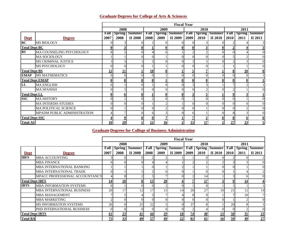## **Graduate Degrees for College of Arts & Sciences**

|                       |                             |      | <b>Fiscal Year</b> |                      |          |                         |                                                        |                  |      |         |      |      |                      |  |
|-----------------------|-----------------------------|------|--------------------|----------------------|----------|-------------------------|--------------------------------------------------------|------------------|------|---------|------|------|----------------------|--|
|                       |                             |      | 2008               |                      |          | 2009                    |                                                        |                  | 2010 |         |      | 2011 |                      |  |
|                       |                             | Fall |                    | <b>Spring Summer</b> |          |                         | <b>Fall   Spring   Summer   Fall   Spring   Summer</b> |                  |      |         | Fall |      | <b>Spring Summer</b> |  |
| <b>Dept</b>           | <b>Degree</b>               | 2007 | 2008               | II 2008              | 2008     | 2009                    | II 2009                                                | 2009             | 2010 | II 2010 | 2010 | 2011 | II 2011              |  |
| BC                    | <b>MS BIOLOGY</b>           |      |                    |                      |          | $\Omega$                |                                                        |                  |      |         |      |      |                      |  |
| <b>Total Dept BC</b>  |                             |      |                    |                      |          | $\overline{\mathbf{0}}$ | 0                                                      | $\boldsymbol{0}$ |      |         |      |      |                      |  |
| <b>BS</b>             | MA COUNSELING PSYCHOLOGY    |      |                    |                      |          | 6                       |                                                        |                  |      |         |      |      | $\Omega$             |  |
|                       | <b>MA SOCIOLOGY</b>         |      |                    |                      | $\Omega$ |                         |                                                        |                  |      |         |      |      | $\Omega$             |  |
|                       | <b>MS CRIMINAL JUSTICE</b>  |      |                    |                      |          | $\Omega$                |                                                        |                  |      |         |      |      | $\Omega$             |  |
|                       | MS PSYCHOLOGY               |      |                    |                      |          |                         |                                                        |                  |      |         |      |      | $\Omega$             |  |
| <b>Total Dept BS</b>  |                             | 12   | 11                 |                      | 10       | 8                       |                                                        |                  |      |         |      | 10   | $\bf{0}$             |  |
| <b>EMAP</b>           | <b>MS MATHEMATICS</b>       |      |                    |                      | $\Omega$ |                         |                                                        |                  |      |         |      |      |                      |  |
|                       | <b>Total Dept EMAP</b>      |      |                    | $\bf{0}$             | $\bf{0}$ |                         | 0                                                      | $\mathbf 0$      |      |         | 0    | 0    |                      |  |
| LL                    | <b>MA ENGLISH</b>           |      |                    | 0                    |          | $\theta$                | $\overline{0}$                                         |                  |      |         |      |      |                      |  |
|                       | <b>MA SPANISH</b>           |      |                    |                      | ΩI       | $\theta$                |                                                        |                  |      |         |      |      |                      |  |
| <b>Total Dept LL</b>  |                             |      |                    | $\mathbf{0}$         |          | $\bf{0}$                |                                                        |                  |      |         | Q    |      |                      |  |
| <b>SSC</b>            | <b>MA HISTORY</b>           |      |                    |                      |          | $\Omega$                | $\Omega$                                               |                  |      |         |      |      | $\theta$             |  |
|                       | <b>MA INTERDIS STUDIES</b>  |      |                    | 0                    |          | ↑                       |                                                        |                  |      |         |      |      | $\Omega$             |  |
|                       | MA POLITICAL SCIENCE        |      |                    | $\Omega$             | $\Omega$ | $\overline{2}$          | 0                                                      |                  |      |         |      |      | $\Omega$             |  |
|                       | MPADM PUBLIC ADMINISTRATION |      |                    | 0                    | 6        |                         | 0                                                      | h                |      |         |      |      | $\theta$             |  |
| <b>Total Dept SSC</b> |                             |      |                    |                      | 0        | 7                       |                                                        |                  |      |         | 8    | 0    | 0                    |  |
| <b>Total AS</b>       |                             |      | 29                 |                      | 21       | 16                      | $\overline{2}$                                         | 15               | 17   |         | 27   | 23   |                      |  |

## **Graduate Degrees for College of Business Administration**

|                        |                                   |                 |        |               |      |                | <b>Fiscal Year</b>   |                 |           |                      |      |      |                      |
|------------------------|-----------------------------------|-----------------|--------|---------------|------|----------------|----------------------|-----------------|-----------|----------------------|------|------|----------------------|
|                        |                                   |                 | 2008   |               |      | 2009           |                      |                 | 2010      |                      |      | 2011 |                      |
|                        |                                   | Fall            | Spring | <b>Summer</b> | Fall |                | <b>Spring Summer</b> | Fall            |           | <b>Spring Summer</b> | Fall |      | <b>Spring Summer</b> |
| <b>Dept</b>            | <b>Degree</b>                     | 2007            | 2008   | II 2008       | 2008 | 2009           | II 2009              | 2009            | 2010      | II 2010              | 2010 | 2011 | II 2011              |
| <b>IBFS</b>            | <b>MBA ACCOUNTING</b>             |                 |        |               |      |                |                      |                 |           |                      |      |      |                      |
|                        | <b>MBA FINANCE</b>                |                 |        |               |      |                |                      |                 |           |                      |      |      | $\Omega$             |
|                        | MBA INTERNATIONAL BANKING         |                 |        |               |      |                |                      |                 |           |                      |      |      | $\theta$             |
|                        | <b>MBA INTERNATIONAL TRADE</b>    |                 |        |               |      | 61             |                      |                 |           |                      |      |      | $\overline{2}$       |
|                        | MPACC PROFESSIONAL ACCOUNTANCY    |                 |        |               |      |                |                      |                 | 14        |                      |      |      | $\theta$             |
| <b>Total Dept IBFS</b> |                                   | 14              | 10     | 8             | 13   | 20             |                      |                 | 17        |                      |      | 14   |                      |
| <b>IBTS</b>            | <b>MBA INFORMATION SYSTEMS</b>    |                 |        |               |      | 2              |                      |                 |           |                      |      |      |                      |
|                        | <b>MBA INTERNATIONAL BUSINESS</b> | 26              | 17     | 12            | 17   | 15             | 14                   | 26              | 27        | 10                   | 21   | 12   | 14                   |
|                        | <b>MBA MANAGEMENT</b>             |                 |        |               |      |                |                      |                 |           |                      |      | 10   | $\overline{7}$       |
|                        | <b>MBA MARKETING</b>              |                 |        |               |      |                |                      |                 |           |                      |      |      | $\Omega$             |
|                        | <b>MS INFORMATION SYSTEMS</b>     | 26              |        | 25            | 22   |                |                      | 37              |           |                      | 20   |      |                      |
|                        | PHD INTERNATIONAL BUSINESS        | $^{\circ}$      |        |               |      | $\Omega$       |                      |                 |           |                      |      |      | $\theta$             |
| <b>Total Dept IBTS</b> |                                   | 61              | 23     | 41            | 44   | 29             | 18                   | $\overline{14}$ | 48        | 13                   | 50   | 35   | $\underline{23}$     |
| <b>Total BA</b>        |                                   | $\overline{25}$ | 33     | 49            | 57   | $\frac{49}{2}$ | $\overline{22}$      | 81              | <u>65</u> | <u>16</u>            | 59   | 49   | 27                   |